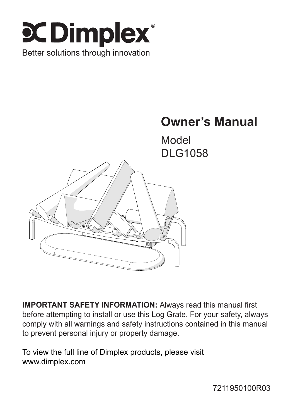



Model DLG1058



**IMPORTANT SAFETY INFORMATION:** Always read this manual first before attempting to install or use this Log Grate. For your safety, always comply with all warnings and safety instructions contained in this manual to prevent personal injury or property damage.

To view the full line of Dimplex products, please visit www.dimplex.com

7211950100R03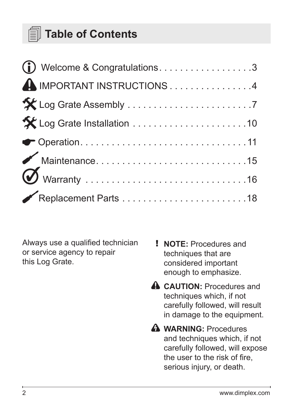## **Table of Contents**

| Welcome & Congratulations. 3 |  |
|------------------------------|--|
| IMPORTANT INSTRUCTIONS 4     |  |
|                              |  |
| X Log Grate Installation 10  |  |
|                              |  |
|                              |  |
|                              |  |
|                              |  |

Always use a qualified technician or service agency to repair this Log Grate.

- ! **NOTE:** Procedures and techniques that are considered important enough to emphasize.
- **A** CAUTION: Procedures and techniques which, if not carefully followed, will result in damage to the equipment.
- **Warning:** Procedures and techniques which, if not carefully followed, will expose the user to the risk of fire, serious injury, or death.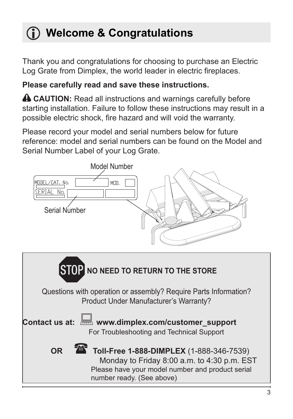# **Welcome & Congratulations**

Thank you and congratulations for choosing to purchase an Electric Log Grate from Dimplex, the world leader in electric fireplaces.

## **Please carefully read and save these instructions.**

**A CAUTION:** Read all instructions and warnings carefully before starting installation. Failure to follow these instructions may result in a possible electric shock, fire hazard and will void the warranty.

Please record your model and serial numbers below for future reference: model and serial numbers can be found on the Model and Serial Number Label of your Log Grate.

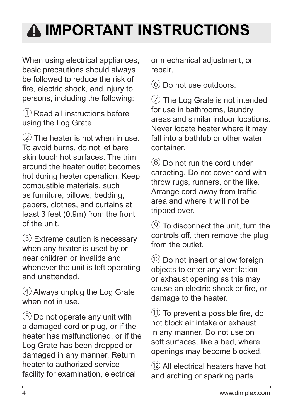# **Important Instructions**

When using electrical appliances, basic precautions should always be followed to reduce the risk of fire, electric shock, and injury to persons, including the following:

① Read all instructions before using the Log Grate.

② The heater is hot when in use. To avoid burns, do not let bare skin touch hot surfaces. The trim around the heater outlet becomes hot during heater operation. Keep combustible materials, such as furniture, pillows, bedding, papers, clothes, and curtains at least 3 feet (0.9m) from the front of the unit.

 $(3)$  Extreme caution is necessary when any heater is used by or near children or invalids and whenever the unit is left operating and unattended.

④ Always unplug the Log Grate when not in use.

⑤ Do not operate any unit with a damaged cord or plug, or if the heater has malfunctioned, or if the Log Grate has been dropped or damaged in any manner. Return heater to authorized service facility for examination, electrical

or mechanical adjustment, or repair.

⑥ Do not use outdoors.

⑦ The Log Grate is not intended for use in bathrooms, laundry areas and similar indoor locations. Never locate heater where it may fall into a bathtub or other water container.

⑧ Do not run the cord under carpeting. Do not cover cord with throw rugs, runners, or the like. Arrange cord away from traffic area and where it will not be tripped over.

⑨ To disconnect the unit, turn the controls off, then remove the plug from the outlet.

⑩ Do not insert or allow foreign objects to enter any ventilation or exhaust opening as this may cause an electric shock or fire, or damage to the heater.

 $(1)$  To prevent a possible fire, do not block air intake or exhaust in any manner. Do not use on soft surfaces, like a bed, where openings may become blocked.

⑫ All electrical heaters have hot and arching or sparking parts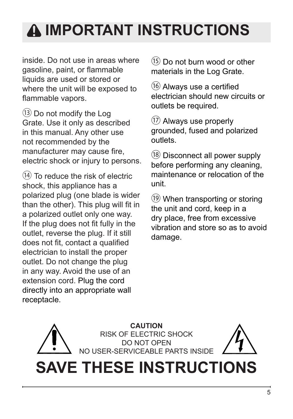# **Important Instructions**

inside. Do not use in areas where gasoline, paint, or flammable liquids are used or stored or where the unit will be exposed to flammable vapors.

⑬ Do not modify the Log Grate. Use it only as described in this manual. Any other use not recommended by the manufacturer may cause fire, electric shock or injury to persons.

 $(14)$  To reduce the risk of electric shock, this appliance has a polarized plug (one blade is wider than the other). This plug will fit in a polarized outlet only one way. If the plug does not fit fully in the outlet, reverse the plug. If it still does not fit, contact a qualified electrician to install the proper outlet. Do not change the plug in any way. Avoid the use of an extension cord. Plug the cord directly into an appropriate wall receptacle.

⑮ Do not burn wood or other materials in the Log Grate.

⑯ Always use a certified electrician should new circuits or outlets be required.

⑰ Always use properly grounded, fused and polarized outlets.

⑱ Disconnect all power supply before performing any cleaning, maintenance or relocation of the unit.

⑲ When transporting or storing the unit and cord, keep in a dry place, free from excessive vibration and store so as to avoid damage.

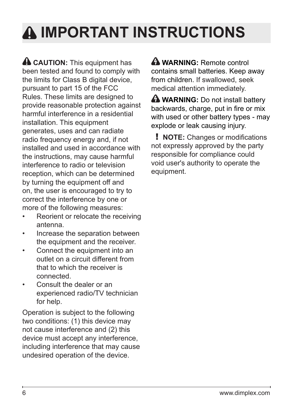# **Important Instructions**

**A CAUTION:** This equipment has been tested and found to comply with the limits for Class B digital device, pursuant to part 15 of the FCC Rules. These limits are designed to provide reasonable protection against harmful interference in a residential installation. This equipment generates, uses and can radiate radio frequency energy and, if not installed and used in accordance with the instructions, may cause harmful interference to radio or television reception, which can be determined by turning the equipment off and on, the user is encouraged to try to correct the interference by one or more of the following measures:

- Reorient or relocate the receiving antenna.
- Increase the separation between the equipment and the receiver.
- Connect the equipment into an outlet on a circuit different from that to which the receiver is connected.
- Consult the dealer or an experienced radio/TV technician for help.

Operation is subject to the following two conditions: (1) this device may not cause interference and (2) this device must accept any interference, including interference that may cause undesired operation of the device.

 **WARNING:** Remote control contains small batteries. Keep away from children. If swallowed, seek medical attention immediately.

**A** WARNING: Do not install battery backwards, charge, put in fire or mix with used or other battery types - may explode or leak causing injury.

! **NOTE:** Changes or modifications not expressly approved by the party responsible for compliance could void user's authority to operate the equipment.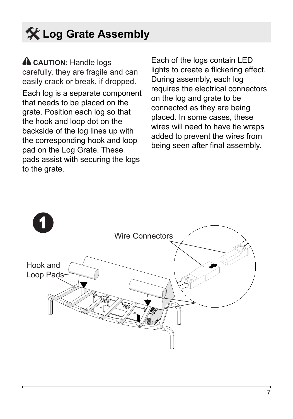# **Log Grate Assembly**

**A CAUTION: Handle logs** carefully, they are fragile and can easily crack or break, if dropped.

Each log is a separate component that needs to be placed on the grate. Position each log so that the hook and loop dot on the backside of the log lines up with the corresponding hook and loop pad on the Log Grate. These pads assist with securing the logs to the grate.

Each of the logs contain LED lights to create a flickering effect. During assembly, each log requires the electrical connectors on the log and grate to be connected as they are being placed. In some cases, these wires will need to have tie wraps added to prevent the wires from being seen after final assembly.

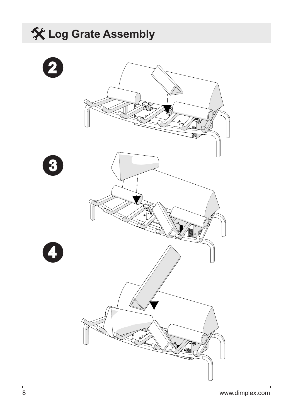# **Log Grate Assembly** 4 3 2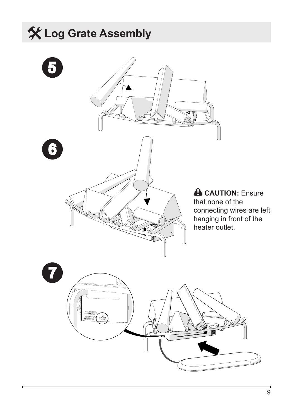# **Log Grate Assembly**

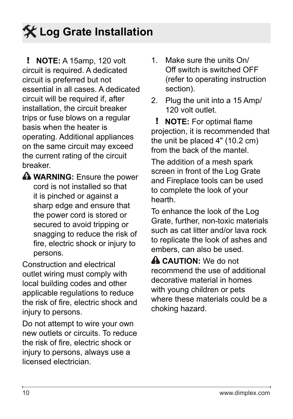# **Log Grate Installation**

! **NOTE:** A 15amp, 120 volt circuit is required. A dedicated circuit is preferred but not essential in all cases. A dedicated circuit will be required if, after installation, the circuit breaker trips or fuse blows on a regular basis when the heater is operating. Additional appliances on the same circuit may exceed the current rating of the circuit breaker.

**Warning:** Ensure the power cord is not installed so that it is pinched or against a sharp edge and ensure that the power cord is stored or secured to avoid tripping or snagging to reduce the risk of fire, electric shock or injury to persons.

Construction and electrical outlet wiring must comply with local building codes and other applicable regulations to reduce the risk of fire, electric shock and injury to persons.

Do not attempt to wire your own new outlets or circuits. To reduce the risk of fire, electric shock or injury to persons, always use a licensed electrician.

- 1. Make sure the units On/ Off switch is switched OFF (refer to operating instruction section).
- 2. Plug the unit into a 15 Amp/ 120 volt outlet.

! **NOTE:** For optimal flame projection, it is recommended that the unit be placed 4" (10.2 cm) from the back of the mantel.

The addition of a mesh spark screen in front of the Log Grate and Fireplace tools can be used to complete the look of your hearth.

To enhance the look of the Log Grate, further, non-toxic materials such as cat litter and/or lava rock to replicate the look of ashes and embers, can also be used.

 **CAUTION:** We do not recommend the use of additional decorative material in homes with young children or pets where these materials could be a choking hazard.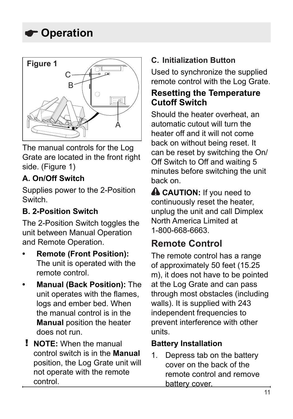

The manual controls for the Log Grate are located in the front right side. (Figure 1)

## **A. On/Off Switch**

Supplies power to the 2-Position Switch.

### **B. 2-Position Switch**

The 2-Position Switch toggles the unit between Manual Operation and Remote Operation.

- **Remote (Front Position):** The unit is operated with the remote control.
- **Manual (Back Position): The** unit operates with the flames, logs and ember bed. When the manual control is in the **Manual** position the heater does not run.
- ! **NOTE:** When the manual control switch is in the **Manual**  position, the Log Grate unit will not operate with the remote control.

## **C. Initialization Button**

Used to synchronize the supplied remote control with the Log Grate.

## **Resetting the Temperature Cutoff Switch**

Should the heater overheat, an automatic cutout will turn the heater off and it will not come back on without being reset. It can be reset by switching the On/ Off Switch to Off and waiting 5 minutes before switching the unit back on.

**A CAUTION:** If you need to continuously reset the heater, unplug the unit and call Dimplex North America Limited at 1-800-668-6663.

## **Remote Control**

The remote control has a range of approximately 50 feet (15.25 m), it does not have to be pointed at the Log Grate and can pass through most obstacles (including walls). It is supplied with 243 independent frequencies to prevent interference with other units.

#### **Battery Installation**

1. Depress tab on the battery cover on the back of the remote control and remove battery cover.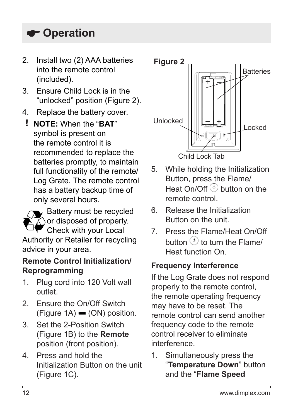- 2. Install two (2) AAA batteries into the remote control (included).
- 3. Ensure Child Lock is in the "unlocked" position (Figure 2).
- 4. Replace the battery cover.
	- ! **NOTE:** When the "**BAT**" symbol is present on the remote control it is recommended to replace the batteries promptly, to maintain full functionality of the remote/ Log Grate. The remote control has a battery backup time of only several hours.



## **Remote Control Initialization/ Reprogramming**

- 1. Plug cord into 120 Volt wall outlet.
- 2. Ensure the On/Off Switch  $(Figure 1A)$  (ON) position.
- 3. Set the 2-Position Switch (Figure 1B) to the **Remote** position (front position).
- 4. Press and hold the Initialization Button on the unit (Figure 1C).



- 5. While holding the Initialization Button, press the Flame/ Heat  $On/Off$  button on the remote control.
- 6. Release the Initialization Button on the unit.
- 7. Press the Flame/Heat On/Off button  $\odot$  to turn the Flame/ Heat function On.

## **Frequency Interference**

If the Log Grate does not respond properly to the remote control, the remote operating frequency may have to be reset. The remote control can send another frequency code to the remote control receiver to eliminate interference.

1. Simultaneously press the "**Temperature Down**" button and the "**Flame Speed**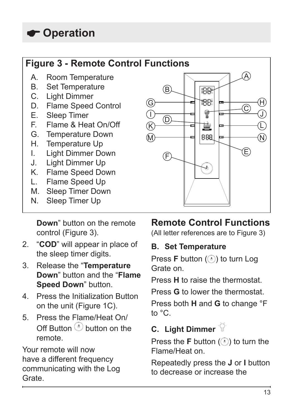## **Figure 3 - Remote Control Functions**

- A. Room Temperature
- B. Set Temperature
- C. Light Dimmer
- D. Flame Speed Control<br>E. Sleen Timer
- E. Sleep Timer<br>E. Elame & Hes
- Flame & Heat On/Off
- G. Temperature Down
- H. Temperature Up
- I. Light Dimmer Down
- J. Light Dimmer Up
- K. Flame Speed Down
- L. Flame Speed Up
- M. Sleep Timer Down<br>N. Sleep Timer Un
- Sleep Timer Up

**Down**" button on the remote control (Figure 3).

- 2. "**COD**" will appear in place of the sleep timer digits.
- 3. Release the "**Temperature Down**" button and the "**Flame Speed Down**" button.
- 4. Press the Initialization Button on the unit (Figure 1C).
- 5. Press the Flame/Heat On/  $Off$  Button  $\odot$  button on the remote.

Your remote will now have a different frequency communicating with the Log Grate.



## **Remote Control Functions**

(All letter references are to Figure 3)

## **B. Set Temperature**

Press **F** button ( $\odot$ ) to turn Log Grate on.

Press **H** to raise the thermostat.

Press **G** to lower the thermostat.

Press both **H** and **G** to change °F to °C.

## **C. Light Dimmer**

Press the  $F$  button  $($ ) to turn the Flame/Heat on.

Repeatedly press the **J** or **I** button to decrease or increase the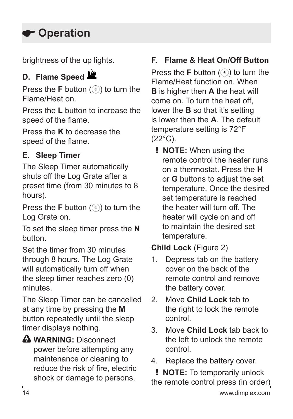brightness of the up lights.

## **D. Flame Speed**

Press the **F** button ( $\odot$ ) to turn the Flame/Heat on.

Press the **L** button to increase the speed of the flame.

Press the **K** to decrease the speed of the flame.

## **E. Sleep Timer**

The Sleep Timer automatically shuts off the Log Grate after a preset time (from 30 minutes to 8 hours).

Press the **F** button  $(\odot)$  to turn the Log Grate on.

To set the sleep timer press the **N** button.

Set the timer from 30 minutes through 8 hours. The Log Grate will automatically turn off when the sleep timer reaches zero (0) minutes.

The Sleep Timer can be cancelled at any time by pressing the **M** button repeatedly until the sleep timer displays nothing.

**WARNING:** Disconnect power before attempting any maintenance or cleaning to reduce the risk of fire, electric shock or damage to persons.

## **F. Flame & Heat On/Off Button**

Press the **F** button  $(\odot)$  to turn the Flame/Heat function on. When **B** is higher then **A** the heat will come on. To turn the heat off, lower the **B** so that it's setting is lower then the **A**. The default temperature setting is 72°F (22°C).

! **NOTE:** When using the remote control the heater runs on a thermostat. Press the **H** or **G** buttons to adjust the set temperature. Once the desired set temperature is reached the heater will turn off. The heater will cycle on and off to maintain the desired set temperature.

**Child Lock** (Figure 2)

- 1. Depress tab on the battery cover on the back of the remote control and remove the battery cover.
- 2. Move **Child Lock** tab to the right to lock the remote control.
- 3. Move **Child Lock** tab back to the left to unlock the remote control.
- 4. Replace the battery cover.

! **NOTE:** To temporarily unlock the remote control press (in order)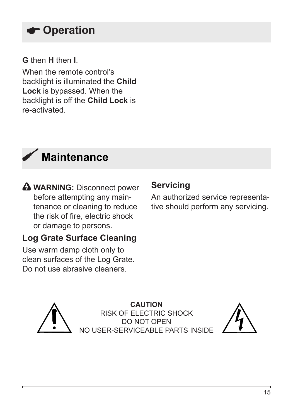### **G** then **H** then **I**.

When the remote control's backlight is illuminated the **Child Lock** is bypassed. When the backlight is off the **Child Lock** is re-activated.



**Warning:** Disconnect power before attempting any maintenance or cleaning to reduce the risk of fire, electric shock or damage to persons.

## **Log Grate Surface Cleaning**

Use warm damp cloth only to clean surfaces of the Log Grate. Do not use abrasive cleaners.

## **Servicing**

An authorized service representative should perform any servicing.



**CAUTION** RISK OF ELECTRIC SHOCK DO NOT OPEN NO USER-SERVICEABLE PARTS INSIDE

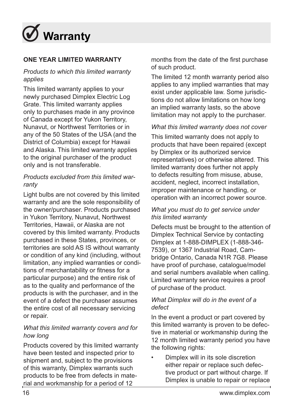

#### **ONE YEAR LIMITED WARRANTY**

#### *Products to which this limited warranty applies*

This limited warranty applies to your newly purchased Dimplex Electric Log Grate. This limited warranty applies only to purchases made in any province of Canada except for Yukon Territory, Nunavut, or Northwest Territories or in any of the 50 States of the USA (and the District of Columbia) except for Hawaii and Alaska. This limited warranty applies to the original purchaser of the product only and is not transferable.

#### *Products excluded from this limited warranty*

Light bulbs are not covered by this limited warranty and are the sole responsibility of the owner/purchaser. Products purchased in Yukon Territory, Nunavut, Northwest Territories, Hawaii, or Alaska are not covered by this limited warranty. Products purchased in these States, provinces, or territories are sold AS IS without warranty or condition of any kind (including, without limitation, any implied warranties or conditions of merchantability or fitness for a particular purpose) and the entire risk of as to the quality and performance of the products is with the purchaser, and in the event of a defect the purchaser assumes the entire cost of all necessary servicing or repair.

#### *What this limited warranty covers and for how long*

Products covered by this limited warranty have been tested and inspected prior to shipment and, subject to the provisions of this warranty, Dimplex warrants such products to be free from defects in material and workmanship for a period of 12

months from the date of the first purchase of such product.

The limited 12 month warranty period also applies to any implied warranties that may exist under applicable law. Some jurisdictions do not allow limitations on how long an implied warranty lasts, so the above limitation may not apply to the purchaser.

#### *What this limited warranty does not cover*

This limited warranty does not apply to products that have been repaired (except by Dimplex or its authorized service representatives) or otherwise altered. This limited warranty does further not apply to defects resulting from misuse, abuse, accident, neglect, incorrect installation, improper maintenance or handling, or operation with an incorrect power source.

#### *What you must do to get service under this limited warranty*

Defects must be brought to the attention of Dimplex Technical Service by contacting Dimplex at 1-888-DIMPLEX (1-888-346- 7539), or 1367 Industrial Road, Cambridge Ontario, Canada N1R 7G8. Please have proof of purchase, catalogue/model and serial numbers available when calling. Limited warranty service requires a proof of purchase of the product.

#### *What Dimplex will do in the event of a defect*

In the event a product or part covered by this limited warranty is proven to be defective in material or workmanship during the 12 month limited warranty period you have the following rights:

• Dimplex will in its sole discretion either repair or replace such defective product or part without charge. If Dimplex is unable to repair or replace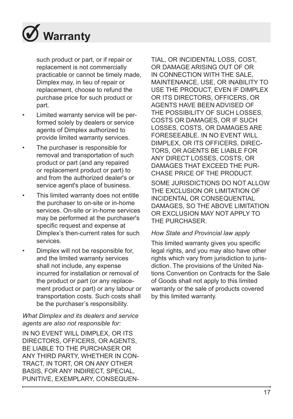

such product or part, or if repair or replacement is not commercially practicable or cannot be timely made, Dimplex may, in lieu of repair or replacement, choose to refund the purchase price for such product or part.

- Limited warranty service will be performed solely by dealers or service agents of Dimplex authorized to provide limited warranty services.
- The purchaser is responsible for removal and transportation of such product or part (and any repaired or replacement product or part) to and from the authorized dealer's or service agent's place of business.
- This limited warranty does not entitle the purchaser to on-site or in-home services. On-site or in-home services may be performed at the purchaser's specific request and expense at Dimplex's then-current rates for such services.
- Dimplex will not be responsible for, and the limited warranty services shall not include, any expense incurred for installation or removal of the product or part (or any replacement product or part) or any labour or transportation costs. Such costs shall be the purchaser's responsibility.

#### *What Dimplex and its dealers and service agents are also not responsible for:*

IN NO EVENT WILL DIMPLEX, OR ITS DIRECTORS, OFFICERS, OR AGENTS, BE LIABLE TO THE PURCHASER OR ANY THIRD PARTY, WHETHER IN CON-TRACT, IN TORT, OR ON ANY OTHER BASIS, FOR ANY INDIRECT, SPECIAL, PUNITIVE, EXEMPLARY, CONSEQUEN- TIAL, OR INCIDENTAL LOSS, COST, OR DAMAGE ARISING OUT OF OR IN CONNECTION WITH THE SALE, MAINTENANCE, USE, OR INABILITY TO USE THE PRODUCT, EVEN IF DIMPLEX OR ITS DIRECTORS, OFFICERS, OR AGENTS HAVE BEEN ADVISED OF THE POSSIBILITY OF SUCH LOSSES, COSTS OR DAMAGES, OR IF SUCH LOSSES, COSTS, OR DAMAGES ARE FORESEEABLE. IN NO EVENT WILL DIMPLEX, OR ITS OFFICERS, DIREC-TORS, OR AGENTS BE LIABLE FOR ANY DIRECT LOSSES, COSTS, OR DAMAGES THAT EXCEED THE PUR-CHASE PRICE OF THE PRODUCT.

SOME JURISDICTIONS DO NOT ALLOW THE EXCLUSION OR LIMITATION OF INCIDENTAL OR CONSEQUENTIAL DAMAGES, SO THE ABOVE LIMITATION OR EXCLUSION MAY NOT APPLY TO THE PURCHASER.

#### *How State and Provincial law apply*

This limited warranty gives you specific legal rights, and you may also have other rights which vary from jurisdiction to jurisdiction. The provisions of the United Nations Convention on Contracts for the Sale of Goods shall not apply to this limited warranty or the sale of products covered by this limited warranty.